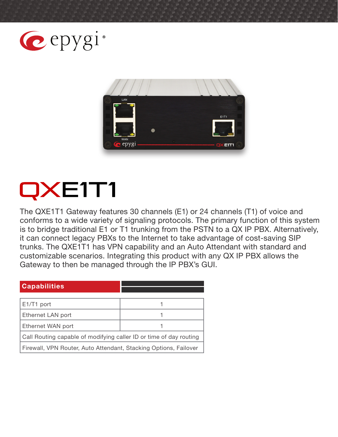



# QXE1T1

The QXE1T1 Gateway features 30 channels (E1) or 24 channels (T1) of voice and conforms to a wide variety of signaling protocols. The primary function of this system is to bridge traditional E1 or T1 trunking from the PSTN to a QX IP PBX. Alternatively, it can connect legacy PBXs to the Internet to take advantage of cost-saving SIP trunks. The QXE1T1 has VPN capability and an Auto Attendant with standard and customizable scenarios. Integrating this product with any QX IP PBX allows the Gateway to then be managed through the IP PBX's GUI.

| <b>Capabilities</b>                                                |  |
|--------------------------------------------------------------------|--|
|                                                                    |  |
| E1/T1 port                                                         |  |
| Ethernet LAN port                                                  |  |
| Ethernet WAN port                                                  |  |
| Call Routing capable of modifying caller ID or time of day routing |  |
| Firewall, VPN Router, Auto Attendant, Stacking Options, Failover   |  |